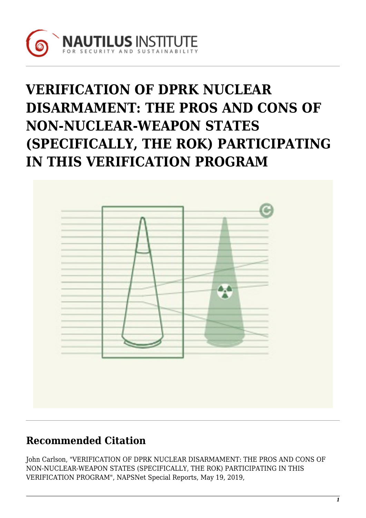

# **VERIFICATION OF DPRK NUCLEAR DISARMAMENT: THE PROS AND CONS OF NON-NUCLEAR-WEAPON STATES (SPECIFICALLY, THE ROK) PARTICIPATING IN THIS VERIFICATION PROGRAM**



# **Recommended Citation**

John Carlson, "VERIFICATION OF DPRK NUCLEAR DISARMAMENT: THE PROS AND CONS OF NON-NUCLEAR-WEAPON STATES (SPECIFICALLY, THE ROK) PARTICIPATING IN THIS VERIFICATION PROGRAM", NAPSNet Special Reports, May 19, 2019,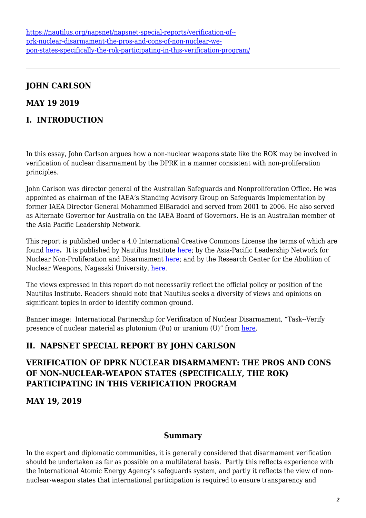### **JOHN CARLSON**

## **MAY 19 2019**

## **I. INTRODUCTION**

In this essay, John Carlson argues how a non-nuclear weapons state like the ROK may be involved in verification of nuclear disarmament by the DPRK in a manner consistent with non-proliferation principles.

John Carlson was director general of the Australian Safeguards and Nonproliferation Office. He was appointed as chairman of the IAEA's Standing Advisory Group on Safeguards Implementation by former IAEA Director General Mohammed ElBaradei and served from 2001 to 2006. He also served as Alternate Governor for Australia on the IAEA Board of Governors. He is an Australian member of the Asia Pacific Leadership Network.

This report is published under a 4.0 International Creative Commons License the terms of which are found [here](https://creativecommons.org/licenses/by-nc-sa/4.0/)**.** It is published by Nautilus Institute [here;](https://nautilus.org/?p=97797) by the Asia-Pacific Leadership Network for Nuclear Non-Proliferation and Disarmament [here](https://nautilus.org/napsnet/napsnet-special-reports/reducing-nuclear-dangers-on-the-korean-peninsula-bilateral-versus-multilateral-approaches/); and by the Research Center for the Abolition of Nuclear Weapons, Nagasaki University, [here.](http://www.recna.nagasaki-u.ac.jp/recna/psnaactivities/22104)

The views expressed in this report do not necessarily reflect the official policy or position of the Nautilus Institute. Readers should note that Nautilus seeks a diversity of views and opinions on significant topics in order to identify common ground.

Banner image: International Partnership for Verification of Nuclear Disarmament, "Task--Verify presence of nuclear material as plutonium (Pu) or uranium (U)" from [here.](https://www.ipndv.org/learn/dismantlement-interactive/)

## **II. NAPSNET SPECIAL REPORT BY JOHN CARLSON**

### **VERIFICATION OF DPRK NUCLEAR DISARMAMENT: THE PROS AND CONS OF NON-NUCLEAR-WEAPON STATES (SPECIFICALLY, THE ROK) PARTICIPATING IN THIS VERIFICATION PROGRAM**

**MAY 19, 2019**

### **Summary**

In the expert and diplomatic communities, it is generally considered that disarmament verification should be undertaken as far as possible on a multilateral basis. Partly this reflects experience with the International Atomic Energy Agency's safeguards system, and partly it reflects the view of nonnuclear-weapon states that international participation is required to ensure transparency and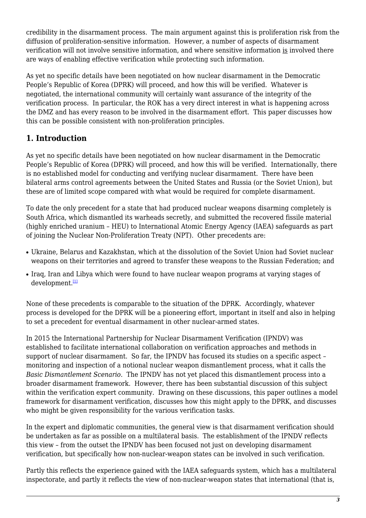credibility in the disarmament process. The main argument against this is proliferation risk from the diffusion of proliferation-sensitive information. However, a number of aspects of disarmament verification will not involve sensitive information, and where sensitive information is involved there are ways of enabling effective verification while protecting such information.

As yet no specific details have been negotiated on how nuclear disarmament in the Democratic People's Republic of Korea (DPRK) will proceed, and how this will be verified. Whatever is negotiated, the international community will certainly want assurance of the integrity of the verification process. In particular, the ROK has a very direct interest in what is happening across the DMZ and has every reason to be involved in the disarmament effort. This paper discusses how this can be possible consistent with non-proliferation principles.

## **1. Introduction**

As yet no specific details have been negotiated on how nuclear disarmament in the Democratic People's Republic of Korea (DPRK) will proceed, and how this will be verified. Internationally, there is no established model for conducting and verifying nuclear disarmament. There have been bilateral arms control agreements between the United States and Russia (or the Soviet Union), but these are of limited scope compared with what would be required for complete disarmament.

To date the only precedent for a state that had produced nuclear weapons disarming completely is South Africa, which dismantled its warheads secretly, and submitted the recovered fissile material (highly enriched uranium – HEU) to International Atomic Energy Agency (IAEA) safeguards as part of joining the Nuclear Non-Proliferation Treaty (NPT). Other precedents are:

- Ukraine, Belarus and Kazakhstan, which at the dissolution of the Soviet Union had Soviet nuclear weapons on their territories and agreed to transfer these weapons to the Russian Federation; and
- <span id="page-2-0"></span>• Iraq, Iran and Libya which were found to have nuclear weapon programs at varying stages of  $development.<sup>[1]</sup>$  $development.<sup>[1]</sup>$  $development.<sup>[1]</sup>$

None of these precedents is comparable to the situation of the DPRK. Accordingly, whatever process is developed for the DPRK will be a pioneering effort, important in itself and also in helping to set a precedent for eventual disarmament in other nuclear-armed states.

In 2015 the International Partnership for Nuclear Disarmament Verification (IPNDV) was established to facilitate international collaboration on verification approaches and methods in support of nuclear disarmament. So far, the IPNDV has focused its studies on a specific aspect – monitoring and inspection of a notional nuclear weapon dismantlement process, what it calls the *Basic Dismantlement Scenario*. The IPNDV has not yet placed this dismantlement process into a broader disarmament framework. However, there has been substantial discussion of this subject within the verification expert community. Drawing on these discussions, this paper outlines a model framework for disarmament verification, discusses how this might apply to the DPRK, and discusses who might be given responsibility for the various verification tasks.

In the expert and diplomatic communities, the general view is that disarmament verification should be undertaken as far as possible on a multilateral basis. The establishment of the IPNDV reflects this view – from the outset the IPNDV has been focused not just on developing disarmament verification, but specifically how non-nuclear-weapon states can be involved in such verification.

Partly this reflects the experience gained with the IAEA safeguards system, which has a multilateral inspectorate, and partly it reflects the view of non-nuclear-weapon states that international (that is,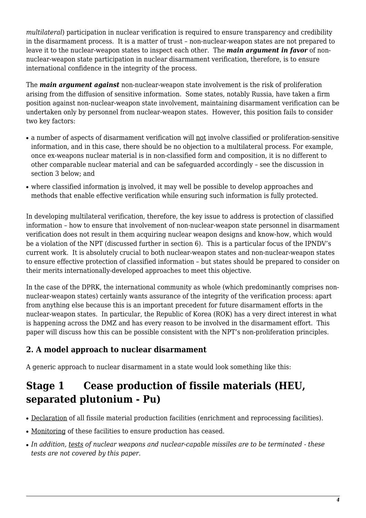*multilateral*) participation in nuclear verification is required to ensure transparency and credibility in the disarmament process. It is a matter of trust – non-nuclear-weapon states are not prepared to leave it to the nuclear-weapon states to inspect each other. The *main argument in favor* of nonnuclear-weapon state participation in nuclear disarmament verification, therefore, is to ensure international confidence in the integrity of the process.

The *main argument against* non-nuclear-weapon state involvement is the risk of proliferation arising from the diffusion of sensitive information. Some states, notably Russia, have taken a firm position against non-nuclear-weapon state involvement, maintaining disarmament verification can be undertaken only by personnel from nuclear-weapon states. However, this position fails to consider two key factors:

- a number of aspects of disarmament verification will not involve classified or proliferation-sensitive information, and in this case, there should be no objection to a multilateral process. For example, once ex-weapons nuclear material is in non-classified form and composition, it is no different to other comparable nuclear material and can be safeguarded accordingly – see the discussion in section 3 below; and
- where classified information is involved, it may well be possible to develop approaches and methods that enable effective verification while ensuring such information is fully protected.

In developing multilateral verification, therefore, the key issue to address is protection of classified information – how to ensure that involvement of non-nuclear-weapon state personnel in disarmament verification does not result in them acquiring nuclear weapon designs and know-how, which would be a violation of the NPT (discussed further in section 6). This is a particular focus of the IPNDV's current work. It is absolutely crucial to both nuclear-weapon states and non-nuclear-weapon states to ensure effective protection of classified information – but states should be prepared to consider on their merits internationally-developed approaches to meet this objective.

In the case of the DPRK, the international community as whole (which predominantly comprises nonnuclear-weapon states) certainly wants assurance of the integrity of the verification process: apart from anything else because this is an important precedent for future disarmament efforts in the nuclear-weapon states. In particular, the Republic of Korea (ROK) has a very direct interest in what is happening across the DMZ and has every reason to be involved in the disarmament effort. This paper will discuss how this can be possible consistent with the NPT's non-proliferation principles.

## **2. A model approach to nuclear disarmament**

A generic approach to nuclear disarmament in a state would look something like this:

# **Stage 1 Cease production of fissile materials (HEU, separated plutonium - Pu)**

- Declaration of all fissile material production facilities (enrichment and reprocessing facilities).
- Monitoring of these facilities to ensure production has ceased.
- In addition, tests of nuclear weapons and nuclear-capable missiles are to be terminated these *tests are not covered by this paper.*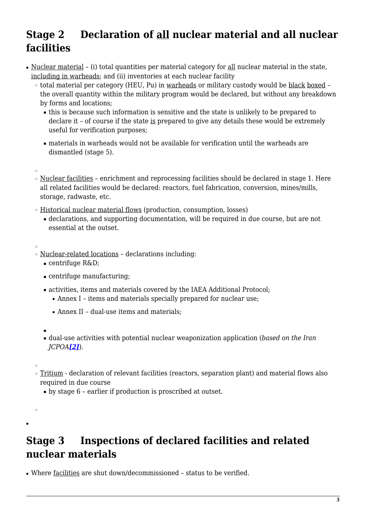# **Stage 2 Declaration of all nuclear material and all nuclear facilities**

- Nuclear material (i) total quantities per material category for all nuclear material in the state, including in warheads; and (ii) inventories at each nuclear facility
	- ❍ total material per category (HEU, Pu) in warheads or military custody would be black boxed *–* the overall quantity within the military program would be declared, but without any breakdown by forms and locations;
		- this is because such information is sensitive and the state is unlikely to be prepared to declare it - of course if the state is prepared to give any details these would be extremely useful for verification purposes;
		- materials in warheads would not be available for verification until the warheads are dismantled (stage 5).
	- $\circ$  Nuclear facilities enrichment and reprocessing facilities should be declared in stage 1. Here all related facilities would be declared: reactors, fuel fabrication, conversion, mines/mills, storage, radwaste, etc.
	- ❍ Historical nuclear material flows (production, consumption, losses)
		- declarations, and supporting documentation, will be required in due course, but are not essential at the outset.
	- ❍

<span id="page-4-0"></span>■

❍

 $\circ$ 

●

❍

- ❍ Nuclear-related locations declarations including:
	- centrifuge R&D;
	- centrifuge manufacturing;
	- activities, items and materials covered by the IAEA Additional Protocol;
		- Annex I items and materials specially prepared for nuclear use;
		- Annex II dual-use items and materials;
	- dual-use activities with potential nuclear weaponization application (*based on the Iran JCPOA[\[2\]](#page-20-1)*).
- ❍ Tritium declaration of relevant facilities (reactors, separation plant) and material flows also required in due course
	- by stage 6 earlier if production is proscribed at outset.

## **Stage 3 Inspections of declared facilities and related nuclear materials**

• Where facilities are shut down/decommissioned - status to be verified.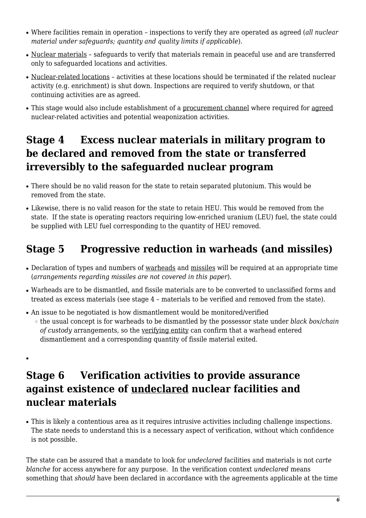- Where facilities remain in operation inspections to verify they are operated as agreed (*all nuclear material under safeguards; quantity and quality limits if applicable*).
- Nuclear materials safeguards to verify that materials remain in peaceful use and are transferred only to safeguarded locations and activities.
- Nuclear-related locations activities at these locations should be terminated if the related nuclear activity (e.g. enrichment) is shut down. Inspections are required to verify shutdown, or that continuing activities are as agreed.
- This stage would also include establishment of a procurement channel where required for agreed nuclear-related activities and potential weaponization activities.

# **Stage 4 Excess nuclear materials in military program to be declared and removed from the state or transferred irreversibly to the safeguarded nuclear program**

- There should be no valid reason for the state to retain separated plutonium. This would be removed from the state.
- Likewise, there is no valid reason for the state to retain HEU. This would be removed from the state. If the state is operating reactors requiring low-enriched uranium (LEU) fuel, the state could be supplied with LEU fuel corresponding to the quantity of HEU removed.

# **Stage 5 Progressive reduction in warheads (and missiles)**

- Declaration of types and numbers of warheads and missiles will be required at an appropriate time (*arrangements regarding missiles are not covered in this paper*).
- Warheads are to be dismantled, and fissile materials are to be converted to unclassified forms and treated as excess materials (see stage 4 – materials to be verified and removed from the state).
- An issue to be negotiated is how dismantlement would be monitored/verified

●

❍ the usual concept is for warheads to be dismantled by the possessor state under *black box*/*chain of custody* arrangements, so the verifying entity can confirm that a warhead entered dismantlement and a corresponding quantity of fissile material exited.

# **Stage 6 Verification activities to provide assurance against existence of undeclared nuclear facilities and nuclear materials**

• This is likely a contentious area as it requires intrusive activities including challenge inspections. The state needs to understand this is a necessary aspect of verification, without which confidence is not possible.

The state can be assured that a mandate to look for *undeclared* facilities and materials is not *carte blanche* for access anywhere for any purpose. In the verification context *undeclared* means something that *should* have been declared in accordance with the agreements applicable at the time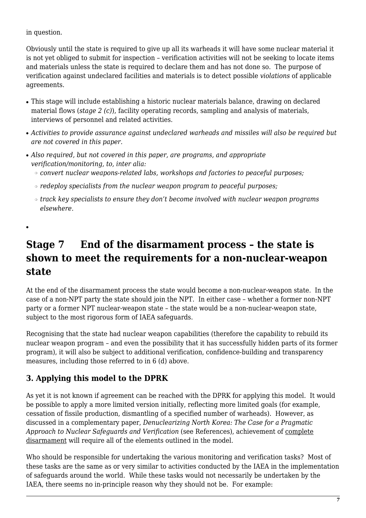in question.

●

Obviously until the state is required to give up all its warheads it will have some nuclear material it is not yet obliged to submit for inspection – verification activities will not be seeking to locate items and materials unless the state is required to declare them and has not done so. The purpose of verification against undeclared facilities and materials is to detect possible *violations* of applicable agreements.

- This stage will include establishing a historic nuclear materials balance, drawing on declared material flows (*stage 2 (c)*), facility operating records, sampling and analysis of materials, interviews of personnel and related activities.
- *Activities to provide assurance against undeclared warheads and missiles will also be required but are not covered in this paper.*
- *Also required, but not covered in this paper, are programs, and appropriate verification/monitoring, to, inter alia:*
	- ❍ *convert nuclear weapons-related labs, workshops and factories to peaceful purposes;*
	- ❍ *redeploy specialists from the nuclear weapon program to peaceful purposes;*
	- ❍ *track key specialists to ensure they don't become involved with nuclear weapon programs elsewhere.*

# **Stage 7 End of the disarmament process – the state is shown to meet the requirements for a non-nuclear-weapon state**

At the end of the disarmament process the state would become a non-nuclear-weapon state. In the case of a non-NPT party the state should join the NPT. In either case – whether a former non-NPT party or a former NPT nuclear-weapon state – the state would be a non-nuclear-weapon state, subject to the most rigorous form of IAEA safeguards.

Recognising that the state had nuclear weapon capabilities (therefore the capability to rebuild its nuclear weapon program – and even the possibility that it has successfully hidden parts of its former program), it will also be subject to additional verification, confidence-building and transparency measures, including those referred to in 6 (d) above.

## **3. Applying this model to the DPRK**

As yet it is not known if agreement can be reached with the DPRK for applying this model. It would be possible to apply a more limited version initially, reflecting more limited goals (for example, cessation of fissile production, dismantling of a specified number of warheads). However, as discussed in a complementary paper, *Denuclearizing North Korea: The Case for a Pragmatic Approach to Nuclear Safeguards and Verification* (see References), achievement of complete disarmament will require all of the elements outlined in the model.

Who should be responsible for undertaking the various monitoring and verification tasks? Most of these tasks are the same as or very similar to activities conducted by the IAEA in the implementation of safeguards around the world. While these tasks would not necessarily be undertaken by the IAEA, there seems no in-principle reason why they should not be. For example: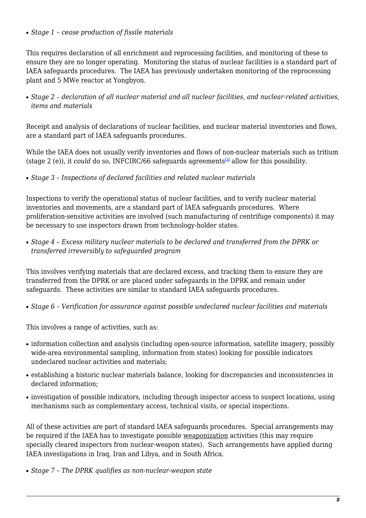• *Stage 1 - cease production of fissile materials* 

This requires declaration of all enrichment and reprocessing facilities, and monitoring of these to ensure they are no longer operating. Monitoring the status of nuclear facilities is a standard part of IAEA safeguards procedures. The IAEA has previously undertaken monitoring of the reprocessing plant and 5 MWe reactor at Yongbyon.

● *Stage 2 – declaration of all nuclear material and all nuclear facilities, and nuclear-related activities, items and materials*

Receipt and analysis of declarations of nuclear facilities, and nuclear material inventories and flows, are a standard part of IAEA safeguards procedures.

<span id="page-7-0"></span>While the IAEA does not usually verify inventories and flows of non-nuclear materials such as tritium (stage 2 (e)), it *could* do so, INFCIRC/66 safeguards agreements<sup>[\[3\]](#page-20-2)</sup> allow for this possibility.

• *Stage 3 - Inspections of declared facilities and related nuclear materials* 

Inspections to verify the operational status of nuclear facilities, and to verify nuclear material inventories and movements, are a standard part of IAEA safeguards procedures. Where proliferation-sensitive activities are involved (such manufacturing of centrifuge components) it may be necessary to use inspectors drawn from technology-holder states.

● *Stage 4 – Excess military nuclear materials to be declared and transferred from the DPRK or transferred irreversibly to safeguarded program*

This involves verifying materials that are declared excess, and tracking them to ensure they are transferred from the DPRK or are placed under safeguards in the DPRK and remain under safeguards. These activities are similar to standard IAEA safeguards procedures.

● *Stage 6 – Verification for assurance against possible undeclared nuclear facilities and materials*

This involves a range of activities, such as:

- information collection and analysis (including open-source information, satellite imagery, possibly wide-area environmental sampling, information from states) looking for possible indicators undeclared nuclear activities and materials;
- establishing a historic nuclear materials balance, looking for discrepancies and inconsistencies in declared information;
- investigation of possible indicators, including through inspector access to suspect locations, using mechanisms such as complementary access, technical visits, or special inspections.

All of these activities are part of standard IAEA safeguards procedures. Special arrangements may be required if the IAEA has to investigate possible weaponization activities (this may require specially cleared inspectors from nuclear-weapon states). Such arrangements have applied during IAEA investigations in Iraq, Iran and Libya, and in South Africa.

● *Stage 7 – The DPRK qualifies as non-nuclear-weapon state*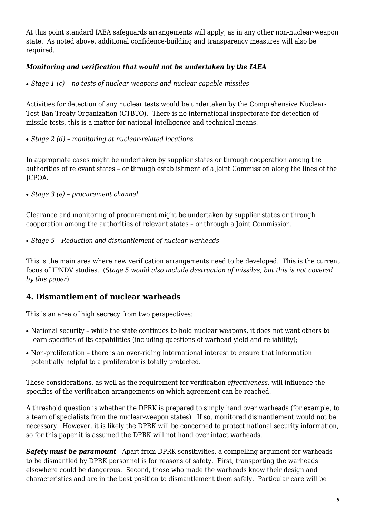At this point standard IAEA safeguards arrangements will apply, as in any other non-nuclear-weapon state. As noted above, additional confidence-building and transparency measures will also be required.

### *Monitoring and verification that would not be undertaken by the IAEA*

• *Stage 1 (c) - no tests of nuclear weapons and nuclear-capable missiles* 

Activities for detection of any nuclear tests would be undertaken by the Comprehensive Nuclear-Test-Ban Treaty Organization (CTBTO). There is no international inspectorate for detection of missile tests, this is a matter for national intelligence and technical means.

● *Stage 2 (d) – monitoring at nuclear-related locations*

In appropriate cases might be undertaken by supplier states or through cooperation among the authorities of relevant states – or through establishment of a Joint Commission along the lines of the JCPOA.

● *Stage 3 (e) – procurement channel*

Clearance and monitoring of procurement might be undertaken by supplier states or through cooperation among the authorities of relevant states – or through a Joint Commission.

● *Stage 5 – Reduction and dismantlement of nuclear warheads*

This is the main area where new verification arrangements need to be developed. This is the current focus of IPNDV studies. (*Stage 5 would also include destruction of missiles, but this is not covered by this paper*).

## **4. Dismantlement of nuclear warheads**

This is an area of high secrecy from two perspectives:

- National security while the state continues to hold nuclear weapons, it does not want others to learn specifics of its capabilities (including questions of warhead yield and reliability);
- Non-proliferation there is an over-riding international interest to ensure that information potentially helpful to a proliferator is totally protected.

These considerations, as well as the requirement for verification *effectiveness*, will influence the specifics of the verification arrangements on which agreement can be reached.

A threshold question is whether the DPRK is prepared to simply hand over warheads (for example, to a team of specialists from the nuclear-weapon states). If so, monitored dismantlement would not be necessary. However, it is likely the DPRK will be concerned to protect national security information, so for this paper it is assumed the DPRK will not hand over intact warheads.

*Safety must be paramount* Apart from DPRK sensitivities, a compelling argument for warheads to be dismantled by DPRK personnel is for reasons of safety. First, transporting the warheads elsewhere could be dangerous. Second, those who made the warheads know their design and characteristics and are in the best position to dismantlement them safely. Particular care will be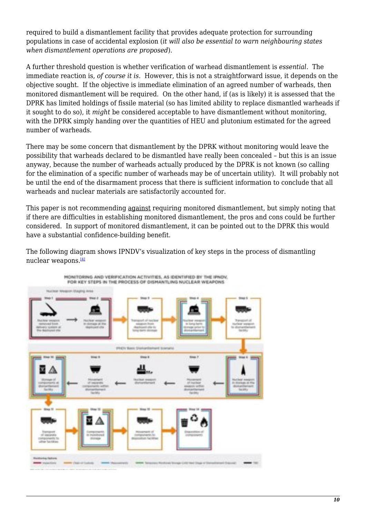required to build a dismantlement facility that provides adequate protection for surrounding populations in case of accidental explosion (*it will also be essential to warn neighbouring states when dismantlement operations are proposed*).

A further threshold question is whether verification of warhead dismantlement is *essential*. The immediate reaction is, *of course it is*. However, this is not a straightforward issue, it depends on the objective sought. If the objective is immediate elimination of an agreed number of warheads, then monitored dismantlement will be required. On the other hand, if (as is likely) it is assessed that the DPRK has limited holdings of fissile material (so has limited ability to replace dismantled warheads if it sought to do so), it *might* be considered acceptable to have dismantlement without monitoring, with the DPRK simply handing over the quantities of HEU and plutonium estimated for the agreed number of warheads.

There may be some concern that dismantlement by the DPRK without monitoring would leave the possibility that warheads declared to be dismantled have really been concealed – but this is an issue anyway, because the number of warheads actually produced by the DPRK is not known (so calling for the elimination of a specific number of warheads may be of uncertain utility). It will probably not be until the end of the disarmament process that there is sufficient information to conclude that all warheads and nuclear materials are satisfactorily accounted for.

This paper is not recommending against requiring monitored dismantlement, but simply noting that if there are difficulties in establishing monitored dismantlement, the pros and cons could be further considered. In support of monitored dismantlement, it can be pointed out to the DPRK this would have a substantial confidence-building benefit.

The following diagram shows IPNDV's visualization of key steps in the process of dismantling nuclear weapons.<sup>[\[4\]](#page-20-3)</sup>

<span id="page-9-0"></span>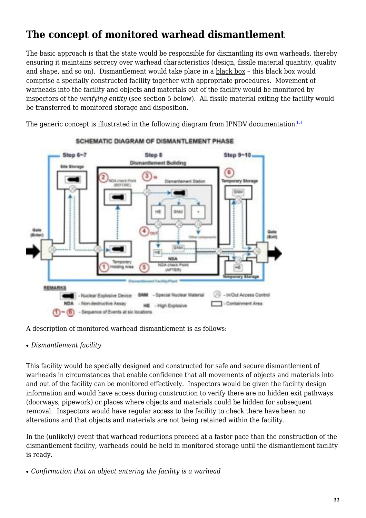# **The concept of monitored warhead dismantlement**

The basic approach is that the state would be responsible for dismantling its own warheads, thereby ensuring it maintains secrecy over warhead characteristics (design, fissile material quantity, quality and shape, and so on). Dismantlement would take place in a black box – this black box would comprise a specially constructed facility together with appropriate procedures. Movement of warheads into the facility and objects and materials out of the facility would be monitored by inspectors of the *verifying entity* (see section 5 below). All fissile material exiting the facility would be transferred to monitored storage and disposition.

<span id="page-10-0"></span>The generic concept is illustrated in the following diagram from IPNDV documentation.[\[5\]](#page-20-4)



SCHEMATIC DIAGRAM OF DISMANTLEMENT PHASE

A description of monitored warhead dismantlement is as follows:

● *Dismantlement facility*

This facility would be specially designed and constructed for safe and secure dismantlement of warheads in circumstances that enable confidence that all movements of objects and materials into and out of the facility can be monitored effectively. Inspectors would be given the facility design information and would have access during construction to verify there are no hidden exit pathways (doorways, pipework) or places where objects and materials could be hidden for subsequent removal. Inspectors would have regular access to the facility to check there have been no alterations and that objects and materials are not being retained within the facility.

In the (unlikely) event that warhead reductions proceed at a faster pace than the construction of the dismantlement facility, warheads could be held in monitored storage until the dismantlement facility is ready.

● *Confirmation that an object entering the facility is a warhead*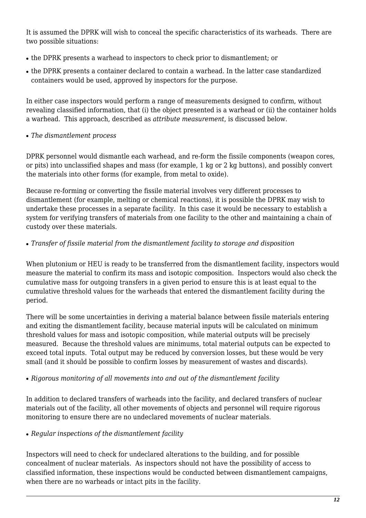It is assumed the DPRK will wish to conceal the specific characteristics of its warheads. There are two possible situations:

- the DPRK presents a warhead to inspectors to check prior to dismantlement; or
- the DPRK presents a container declared to contain a warhead. In the latter case standardized containers would be used, approved by inspectors for the purpose.

In either case inspectors would perform a range of measurements designed to confirm, without revealing classified information, that (i) the object presented is a warhead or (ii) the container holds a warhead. This approach, described as *attribute measurement*, is discussed below.

● *The dismantlement process*

DPRK personnel would dismantle each warhead, and re-form the fissile components (weapon cores, or pits) into unclassified shapes and mass (for example, 1 kg or 2 kg buttons), and possibly convert the materials into other forms (for example, from metal to oxide).

Because re-forming or converting the fissile material involves very different processes to dismantlement (for example, melting or chemical reactions), it is possible the DPRK may wish to undertake these processes in a separate facility. In this case it would be necessary to establish a system for verifying transfers of materials from one facility to the other and maintaining a chain of custody over these materials.

### ● *Transfer of fissile material from the dismantlement facility to storage and disposition*

When plutonium or HEU is ready to be transferred from the dismantlement facility, inspectors would measure the material to confirm its mass and isotopic composition. Inspectors would also check the cumulative mass for outgoing transfers in a given period to ensure this is at least equal to the cumulative threshold values for the warheads that entered the dismantlement facility during the period.

There will be some uncertainties in deriving a material balance between fissile materials entering and exiting the dismantlement facility, because material inputs will be calculated on minimum threshold values for mass and isotopic composition, while material outputs will be precisely measured. Because the threshold values are minimums, total material outputs can be expected to exceed total inputs. Total output may be reduced by conversion losses, but these would be very small (and it should be possible to confirm losses by measurement of wastes and discards).

● *Rigorous monitoring of all movements into and out of the dismantlement facility*

In addition to declared transfers of warheads into the facility, and declared transfers of nuclear materials out of the facility, all other movements of objects and personnel will require rigorous monitoring to ensure there are no undeclared movements of nuclear materials.

● *Regular inspections of the dismantlement facility*

Inspectors will need to check for undeclared alterations to the building, and for possible concealment of nuclear materials. As inspectors should not have the possibility of access to classified information, these inspections would be conducted between dismantlement campaigns, when there are no warheads or intact pits in the facility.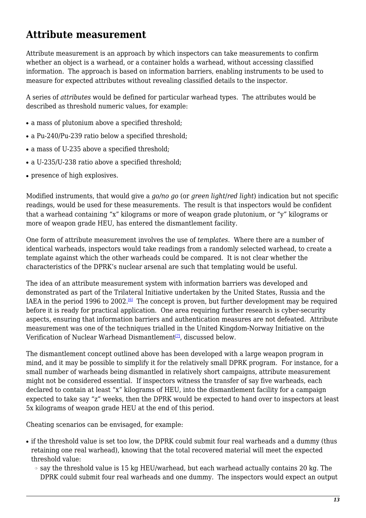## **Attribute measurement**

Attribute measurement is an approach by which inspectors can take measurements to confirm whether an object is a warhead, or a container holds a warhead, without accessing classified information. The approach is based on information barriers, enabling instruments to be used to measure for expected attributes without revealing classified details to the inspector.

A series of *attributes* would be defined for particular warhead types. The attributes would be described as threshold numeric values, for example:

- a mass of plutonium above a specified threshold;
- a Pu-240/Pu-239 ratio below a specified threshold;
- a mass of U-235 above a specified threshold;
- a U-235/U-238 ratio above a specified threshold;
- presence of high explosives.

Modified instruments, that would give a *go/no go* (or *green light*/*red light*) indication but not specific readings, would be used for these measurements. The result is that inspectors would be confident that a warhead containing "x" kilograms or more of weapon grade plutonium, or "y" kilograms or more of weapon grade HEU, has entered the dismantlement facility.

One form of attribute measurement involves the use of *templates*. Where there are a number of identical warheads, inspectors would take readings from a randomly selected warhead, to create a template against which the other warheads could be compared. It is not clear whether the characteristics of the DPRK's nuclear arsenal are such that templating would be useful.

<span id="page-12-0"></span>The idea of an attribute measurement system with information barriers was developed and demonstrated as part of the Trilateral Initiative undertaken by the United States, Russia and the IAEA in the period 1996 to 2002.<sup>[\[6\]](#page-20-5)</sup> The concept is proven, but further development may be required before it is ready for practical application. One area requiring further research is cyber-security aspects, ensuring that information barriers and authentication measures are not defeated. Attribute measurement was one of the techniques trialled in the United Kingdom-Norway Initiative on the Verification of Nuclear Warhead Dismantlement<sup>[\[7\]](#page-20-6)</sup>, discussed below.

<span id="page-12-1"></span>The dismantlement concept outlined above has been developed with a large weapon program in mind, and it may be possible to simplify it for the relatively small DPRK program. For instance, for a small number of warheads being dismantled in relatively short campaigns, attribute measurement might not be considered essential. If inspectors witness the transfer of say five warheads, each declared to contain at least "x" kilograms of HEU, into the dismantlement facility for a campaign expected to take say "z" weeks, then the DPRK would be expected to hand over to inspectors at least 5x kilograms of weapon grade HEU at the end of this period.

Cheating scenarios can be envisaged, for example:

- if the threshold value is set too low, the DPRK could submit four real warheads and a dummy (thus retaining one real warhead), knowing that the total recovered material will meet the expected threshold value:
	- $\circ$  say the threshold value is 15 kg HEU/warhead, but each warhead actually contains 20 kg. The DPRK could submit four real warheads and one dummy. The inspectors would expect an output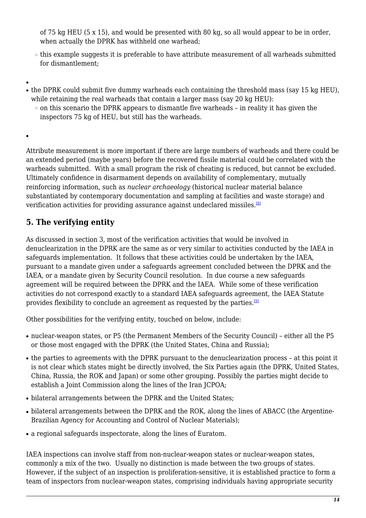of 75 kg HEU (5 x 15), and would be presented with 80 kg, so all would appear to be in order, when actually the DPRK has withheld one warhead;

- ❍ this example suggests it is preferable to have attribute measurement of all warheads submitted for dismantlement;
- the DPRK could submit five dummy warheads each containing the threshold mass (say 15 kg HEU), while retaining the real warheads that contain a larger mass (say 20 kg HEU):
	- ❍ on this scenario the DPRK appears to dismantle five warheads in reality it has given the inspectors 75 kg of HEU, but still has the warheads.

Attribute measurement is more important if there are large numbers of warheads and there could be an extended period (maybe years) before the recovered fissile material could be correlated with the warheads submitted. With a small program the risk of cheating is reduced, but cannot be excluded. Ultimately confidence in disarmament depends on availability of complementary, mutually reinforcing information, such as *nuclear archaeology* (historical nuclear material balance substantiated by contemporary documentation and sampling at facilities and waste storage) and verification activities for providing assurance against undeclared missiles.<sup>[\[8\]](#page-20-7)</sup>

## <span id="page-13-0"></span>**5. The verifying entity**

●

●

As discussed in section 3, most of the verification activities that would be involved in denuclearization in the DPRK are the same as or very similar to activities conducted by the IAEA in safeguards implementation. It follows that these activities could be undertaken by the IAEA, pursuant to a mandate given under a safeguards agreement concluded between the DPRK and the IAEA, or a mandate given by Security Council resolution. In due course a new safeguards agreement will be required between the DPRK and the IAEA. While some of these verification activities do not correspond exactly to a standard IAEA safeguards agreement, the IAEA Statute provides flexibility to conclude an agreement as requested by the parties.[\[9\]](#page-20-8)

<span id="page-13-1"></span>Other possibilities for the verifying entity, touched on below, include:

- nuclear-weapon states, or P5 (the Permanent Members of the Security Council) either all the P5 or those most engaged with the DPRK (the United States, China and Russia);
- the parties to agreements with the DPRK pursuant to the denuclearization process at this point it is not clear which states might be directly involved, the Six Parties again (the DPRK, United States, China, Russia, the ROK and Japan) or some other grouping. Possibly the parties might decide to establish a Joint Commission along the lines of the Iran JCPOA;
- bilateral arrangements between the DPRK and the United States;
- bilateral arrangements between the DPRK and the ROK, along the lines of ABACC (the Argentine-Brazilian Agency for Accounting and Control of Nuclear Materials);
- a regional safeguards inspectorate, along the lines of Euratom.

IAEA inspections can involve staff from non-nuclear-weapon states or nuclear-weapon states, commonly a mix of the two. Usually no distinction is made between the two groups of states. However, if the subject of an inspection is proliferation-sensitive, it is established practice to form a team of inspectors from nuclear-weapon states, comprising individuals having appropriate security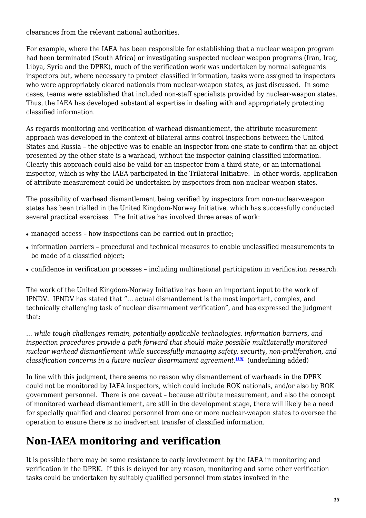clearances from the relevant national authorities.

For example, where the IAEA has been responsible for establishing that a nuclear weapon program had been terminated (South Africa) or investigating suspected nuclear weapon programs (Iran, Iraq, Libya, Syria and the DPRK), much of the verification work was undertaken by normal safeguards inspectors but, where necessary to protect classified information, tasks were assigned to inspectors who were appropriately cleared nationals from nuclear-weapon states, as just discussed. In some cases, teams were established that included non-staff specialists provided by nuclear-weapon states. Thus, the IAEA has developed substantial expertise in dealing with and appropriately protecting classified information.

As regards monitoring and verification of warhead dismantlement, the attribute measurement approach was developed in the context of bilateral arms control inspections between the United States and Russia – the objective was to enable an inspector from one state to confirm that an object presented by the other state is a warhead, without the inspector gaining classified information. Clearly this approach could also be valid for an inspector from a third state, or an international inspector, which is why the IAEA participated in the Trilateral Initiative. In other words, application of attribute measurement could be undertaken by inspectors from non-nuclear-weapon states.

The possibility of warhead dismantlement being verified by inspectors from non-nuclear-weapon states has been trialled in the United Kingdom-Norway Initiative, which has successfully conducted several practical exercises. The Initiative has involved three areas of work:

- managed access how inspections can be carried out in practice;
- information barriers procedural and technical measures to enable unclassified measurements to be made of a classified object;
- confidence in verification processes including multinational participation in verification research.

The work of the United Kingdom-Norway Initiative has been an important input to the work of IPNDV. IPNDV has stated that "… actual dismantlement is the most important, complex, and technically challenging task of nuclear disarmament verification", and has expressed the judgment that:

*… while tough challenges remain, potentially applicable technologies, information barriers, and inspection procedures provide a path forward that should make possible multilaterally monitored nuclear warhead dismantlement while successfully managing safety, security, non-proliferation, and classification concerns in a future nuclear disarmament agreement.[\[10\]](#page-20-9)* (underlining added)

<span id="page-14-0"></span>In line with this judgment, there seems no reason why dismantlement of warheads in the DPRK could not be monitored by IAEA inspectors, which could include ROK nationals, and/or also by ROK government personnel. There is one caveat – because attribute measurement, and also the concept of monitored warhead dismantlement, are still in the development stage, there will likely be a need for specially qualified and cleared personnel from one or more nuclear-weapon states to oversee the operation to ensure there is no inadvertent transfer of classified information.

## **Non-IAEA monitoring and verification**

It is possible there may be some resistance to early involvement by the IAEA in monitoring and verification in the DPRK. If this is delayed for any reason, monitoring and some other verification tasks could be undertaken by suitably qualified personnel from states involved in the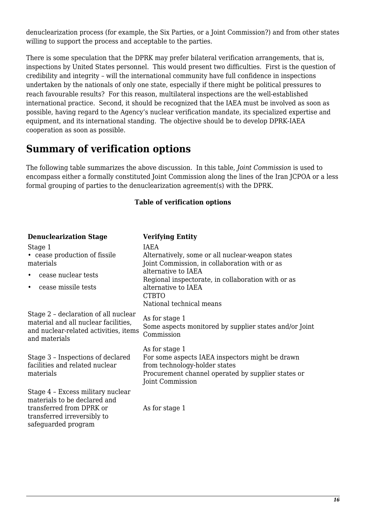denuclearization process (for example, the Six Parties, or a Joint Commission?) and from other states willing to support the process and acceptable to the parties.

There is some speculation that the DPRK may prefer bilateral verification arrangements, that is, inspections by United States personnel. This would present two difficulties. First is the question of credibility and integrity – will the international community have full confidence in inspections undertaken by the nationals of only one state, especially if there might be political pressures to reach favourable results? For this reason, multilateral inspections are the well-established international practice. Second, it should be recognized that the IAEA must be involved as soon as possible, having regard to the Agency's nuclear verification mandate, its specialized expertise and equipment, and its international standing. The objective should be to develop DPRK-IAEA cooperation as soon as possible.

# **Summary of verification options**

The following table summarizes the above discussion. In this table, *Joint Commission* is used to encompass either a formally constituted Joint Commission along the lines of the Iran JCPOA or a less formal grouping of parties to the denuclearization agreement(s) with the DPRK.

### **Table of verification options**

| <b>Denuclearization Stage</b>                                                                                                                       | <b>Verifying Entity</b>                                                                                                                                                                                                                                          |
|-----------------------------------------------------------------------------------------------------------------------------------------------------|------------------------------------------------------------------------------------------------------------------------------------------------------------------------------------------------------------------------------------------------------------------|
| Stage 1<br>• cease production of fissile<br>materials<br>cease nuclear tests<br>$\bullet$<br>cease missile tests<br>$\bullet$                       | <b>IAEA</b><br>Alternatively, some or all nuclear-weapon states<br>Joint Commission, in collaboration with or as<br>alternative to IAEA<br>Regional inspectorate, in collaboration with or as<br>alternative to IAEA<br><b>CTBTO</b><br>National technical means |
| Stage 2 - declaration of all nuclear<br>material and all nuclear facilities,<br>and nuclear-related activities, items<br>and materials              | As for stage 1<br>Some aspects monitored by supplier states and/or Joint<br>Commission                                                                                                                                                                           |
| Stage 3 - Inspections of declared<br>facilities and related nuclear<br>materials                                                                    | As for stage 1<br>For some aspects IAEA inspectors might be drawn<br>from technology-holder states<br>Procurement channel operated by supplier states or<br>Joint Commission                                                                                     |
| Stage 4 - Excess military nuclear<br>materials to be declared and<br>transferred from DPRK or<br>transferred irreversibly to<br>safeguarded program | As for stage 1                                                                                                                                                                                                                                                   |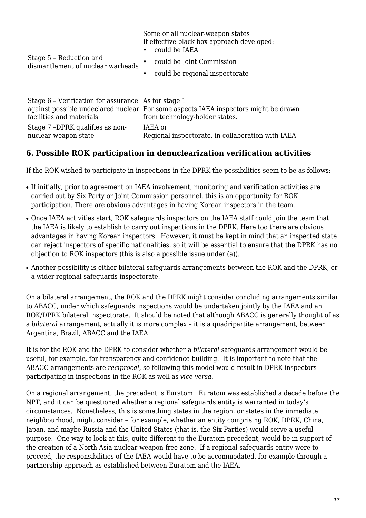|                                                              |           | Some or all nuclear-weapon states<br>If effective black box approach developed: |
|--------------------------------------------------------------|-----------|---------------------------------------------------------------------------------|
| Stage 5 - Reduction and<br>dismantlement of nuclear warheads | $\bullet$ | could be IAEA                                                                   |
|                                                              |           | could be Joint Commission                                                       |
|                                                              | $\bullet$ | could be regional inspectorate                                                  |
|                                                              |           |                                                                                 |

| Stage 6 - Verification for assurance As for stage 1 |                                                                                     |
|-----------------------------------------------------|-------------------------------------------------------------------------------------|
|                                                     | against possible undeclared nuclear For some aspects IAEA inspectors might be drawn |
| facilities and materials                            | from technology-holder states.                                                      |
| Stage 7 -DPRK qualifies as non-                     | IAEA or                                                                             |
| nuclear-weapon state                                | Regional inspectorate, in collaboration with IAEA                                   |

### **6. Possible ROK participation in denuclearization verification activities**

If the ROK wished to participate in inspections in the DPRK the possibilities seem to be as follows:

- If initially, prior to agreement on IAEA involvement, monitoring and verification activities are carried out by Six Party or Joint Commission personnel, this is an opportunity for ROK participation. There are obvious advantages in having Korean inspectors in the team.
- Once IAEA activities start, ROK safeguards inspectors on the IAEA staff could join the team that the IAEA is likely to establish to carry out inspections in the DPRK. Here too there are obvious advantages in having Korean inspectors. However, it must be kept in mind that an inspected state can reject inspectors of specific nationalities, so it will be essential to ensure that the DPRK has no objection to ROK inspectors (this is also a possible issue under (a)).
- Another possibility is either bilateral safeguards arrangements between the ROK and the DPRK, or a wider regional safeguards inspectorate.

On a bilateral arrangement, the ROK and the DPRK might consider concluding arrangements similar to ABACC, under which safeguards inspections would be undertaken jointly by the IAEA and an ROK/DPRK bilateral inspectorate. It should be noted that although ABACC is generally thought of as a *bilateral* arrangement, actually it is more complex – it is a quadripartite arrangement, between Argentina, Brazil, ABACC and the IAEA.

It is for the ROK and the DPRK to consider whether a *bilateral* safeguards arrangement would be useful, for example, for transparency and confidence-building. It is important to note that the ABACC arrangements are *reciprocal*, so following this model would result in DPRK inspectors participating in inspections in the ROK as well as *vice versa*.

On a regional arrangement, the precedent is Euratom. Euratom was established a decade before the NPT, and it can be questioned whether a regional safeguards entity is warranted in today's circumstances. Nonetheless, this is something states in the region, or states in the immediate neighbourhood, might consider – for example, whether an entity comprising ROK, DPRK, China, Japan, and maybe Russia and the United States (that is, the Six Parties) would serve a useful purpose. One way to look at this, quite different to the Euratom precedent, would be in support of the creation of a North Asia nuclear-weapon-free zone. If a regional safeguards entity were to proceed, the responsibilities of the IAEA would have to be accommodated, for example through a partnership approach as established between Euratom and the IAEA.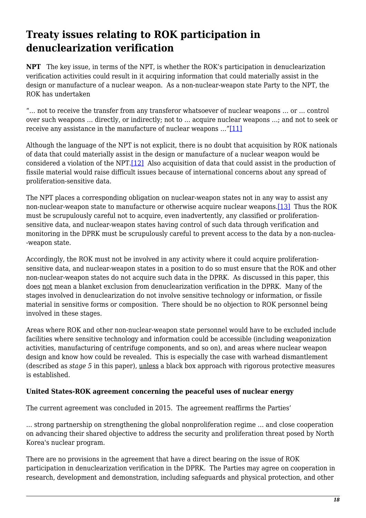## **Treaty issues relating to ROK participation in denuclearization verification**

**NPT** The key issue, in terms of the NPT, is whether the ROK's participation in denuclearization verification activities could result in it acquiring information that could materially assist in the design or manufacture of a nuclear weapon. As a non-nuclear-weapon state Party to the NPT, the ROK has undertaken

"… not to receive the transfer from any transferor whatsoever of nuclear weapons … or … control over such weapons … directly, or indirectly; not to … acquire nuclear weapons …; and not to seek or receive any assistance in the manufacture of nuclear weapons …"[\[11\]](#page-20-10)

<span id="page-17-1"></span><span id="page-17-0"></span>Although the language of the NPT is not explicit, there is no doubt that acquisition by ROK nationals of data that could materially assist in the design or manufacture of a nuclear weapon would be considered a violation of the NPT.[\[12\]](#page-20-11) Also acquisition of data that could assist in the production of fissile material would raise difficult issues because of international concerns about any spread of proliferation-sensitive data.

<span id="page-17-2"></span>The NPT places a corresponding obligation on nuclear-weapon states not in any way to assist any non-nuclear-weapon state to manufacture or otherwise acquire nuclear weapons.[\[13\]](#page-20-12) Thus the ROK must be scrupulously careful not to acquire, even inadvertently, any classified or proliferationsensitive data, and nuclear-weapon states having control of such data through verification and monitoring in the DPRK must be scrupulously careful to prevent access to the data by a non-nuclea- -weapon state.

Accordingly, the ROK must not be involved in any activity where it could acquire proliferationsensitive data, and nuclear-weapon states in a position to do so must ensure that the ROK and other non-nuclear-weapon states do not acquire such data in the DPRK. As discussed in this paper, this does not mean a blanket exclusion from denuclearization verification in the DPRK. Many of the stages involved in denuclearization do not involve sensitive technology or information, or fissile material in sensitive forms or composition. There should be no objection to ROK personnel being involved in these stages.

Areas where ROK and other non-nuclear-weapon state personnel would have to be excluded include facilities where sensitive technology and information could be accessible (including weaponization activities, manufacturing of centrifuge components, and so on), and areas where nuclear weapon design and know how could be revealed. This is especially the case with warhead dismantlement (described as *stage 5* in this paper), unless a black box approach with rigorous protective measures is established.

### **United States-ROK agreement concerning the peaceful uses of nuclear energy**

The current agreement was concluded in 2015. The agreement reaffirms the Parties'

… strong partnership on strengthening the global nonproliferation regime … and close cooperation on advancing their shared objective to address the security and proliferation threat posed by North Korea's nuclear program.

<span id="page-17-3"></span>There are no provisions in the agreement that have a direct bearing on the issue of ROK participation in denuclearization verification in the DPRK. The Parties may agree on cooperation in research, development and demonstration, including safeguards and physical protection, and other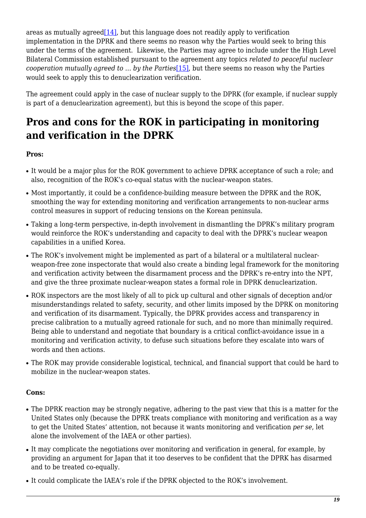areas as mutually agree[d\[14\],](#page-20-13) but this language does not readily apply to verification implementation in the DPRK and there seems no reason why the Parties would seek to bring this under the terms of the agreement. Likewise, the Parties may agree to include under the High Level Bilateral Commission established pursuant to the agreement any topics *related to peaceful nuclear cooperation mutually agreed to … by the Parties*[\[15\],](#page-20-14) but there seems no reason why the Parties would seek to apply this to denuclearization verification.

<span id="page-18-0"></span>The agreement could apply in the case of nuclear supply to the DPRK (for example, if nuclear supply is part of a denuclearization agreement), but this is beyond the scope of this paper.

# **Pros and cons for the ROK in participating in monitoring and verification in the DPRK**

### **Pros:**

- It would be a major plus for the ROK government to achieve DPRK acceptance of such a role; and also, recognition of the ROK's co-equal status with the nuclear-weapon states.
- Most importantly, it could be a confidence-building measure between the DPRK and the ROK, smoothing the way for extending monitoring and verification arrangements to non-nuclear arms control measures in support of reducing tensions on the Korean peninsula.
- Taking a long-term perspective, in-depth involvement in dismantling the DPRK's military program would reinforce the ROK's understanding and capacity to deal with the DPRK's nuclear weapon capabilities in a unified Korea.
- The ROK's involvement might be implemented as part of a bilateral or a multilateral nuclearweapon-free zone inspectorate that would also create a binding legal framework for the monitoring and verification activity between the disarmament process and the DPRK's re-entry into the NPT, and give the three proximate nuclear-weapon states a formal role in DPRK denuclearization.
- ROK inspectors are the most likely of all to pick up cultural and other signals of deception and/or misunderstandings related to safety, security, and other limits imposed by the DPRK on monitoring and verification of its disarmament. Typically, the DPRK provides access and transparency in precise calibration to a mutually agreed rationale for such, and no more than minimally required. Being able to understand and negotiate that boundary is a critical conflict-avoidance issue in a monitoring and verification activity, to defuse such situations before they escalate into wars of words and then actions.
- The ROK may provide considerable logistical, technical, and financial support that could be hard to mobilize in the nuclear-weapon states.

### **Cons:**

- The DPRK reaction may be strongly negative, adhering to the past view that this is a matter for the United States only (because the DPRK treats compliance with monitoring and verification as a way to get the United States' attention, not because it wants monitoring and verification *per se*, let alone the involvement of the IAEA or other parties).
- It may complicate the negotiations over monitoring and verification in general, for example, by providing an argument for Japan that it too deserves to be confident that the DPRK has disarmed and to be treated co-equally.
- It could complicate the IAEA's role if the DPRK objected to the ROK's involvement.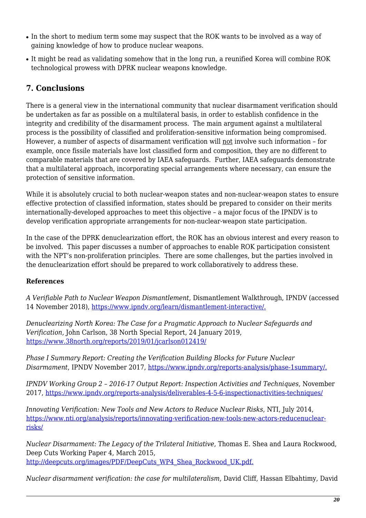- In the short to medium term some may suspect that the ROK wants to be involved as a way of gaining knowledge of how to produce nuclear weapons.
- It might be read as validating somehow that in the long run, a reunified Korea will combine ROK technological prowess with DPRK nuclear weapons knowledge.

## **7. Conclusions**

There is a general view in the international community that nuclear disarmament verification should be undertaken as far as possible on a multilateral basis, in order to establish confidence in the integrity and credibility of the disarmament process. The main argument against a multilateral process is the possibility of classified and proliferation-sensitive information being compromised. However, a number of aspects of disarmament verification will not involve such information – for example, once fissile materials have lost classified form and composition, they are no different to comparable materials that are covered by IAEA safeguards. Further, IAEA safeguards demonstrate that a multilateral approach, incorporating special arrangements where necessary, can ensure the protection of sensitive information.

While it is absolutely crucial to both nuclear-weapon states and non-nuclear-weapon states to ensure effective protection of classified information, states should be prepared to consider on their merits internationally-developed approaches to meet this objective – a major focus of the IPNDV is to develop verification appropriate arrangements for non-nuclear-weapon state participation.

In the case of the DPRK denuclearization effort, the ROK has an obvious interest and every reason to be involved. This paper discusses a number of approaches to enable ROK participation consistent with the NPT's non-proliferation principles. There are some challenges, but the parties involved in the denuclearization effort should be prepared to work collaboratively to address these.

### **References**

*A Verifiable Path to Nuclear Weapon Dismantlement*, Dismantlement Walkthrough, IPNDV (accessed 14 November 2018), [https://www.ipndv.org/learn/dismantlement-interactive/.](https://www.ipndv.org/learn/dismantlement-interactive/)

*Denuclearizing North Korea: The Case for a Pragmatic Approach to Nuclear Safeguards and Verification,* John Carlson, 38 North Special Report, 24 January 2019, <https://www.38north.org/reports/2019/01/jcarlson012419/>

*Phase I Summary Report: Creating the Verification Building Blocks for Future Nuclear Disarmament*, IPNDV November 2017, [https://www.ipndv.org/reports-analysis/phase-1summary/.](https://www.ipndv.org/reports-analysis/phase-1-summary/)

*IPNDV Working Group 2 – 2016-17 Output Report: Inspection Activities and Techniques*, November 2017, [https://www.ipndv.org/reports-analysis/deliverables-4-5-6-inspectionactivities-techniques/](https://www.ipndv.org/reports-analysis/deliverables-4-5-6-inspection-activities-techniques/)

*Innovating Verification: New Tools and New Actors to Reduce Nuclear Risks*, NTI, July 2014, [https://www.nti.org/analysis/reports/innovating-verification-new-tools-new-actors-reducenuclear](https://www.nti.org/analysis/reports/innovating-verification-new-tools-new-actors-reduce-nuclear-risks/)[risks/](https://www.nti.org/analysis/reports/innovating-verification-new-tools-new-actors-reduce-nuclear-risks/)

*Nuclear Disarmament: The Legacy of the Trilateral Initiative*, Thomas E. Shea and Laura Rockwood, Deep Cuts Working Paper 4, March 2015, [http://deepcuts.org/images/PDF/DeepCuts\\_WP4\\_Shea\\_Rockwood\\_UK.pdf.](http://deepcuts.org/images/PDF/DeepCuts_WP4_Shea_Rockwood_UK.pdf)

*Nuclear disarmament verification: the case for multilateralism*, David Cliff, Hassan Elbahtimy, David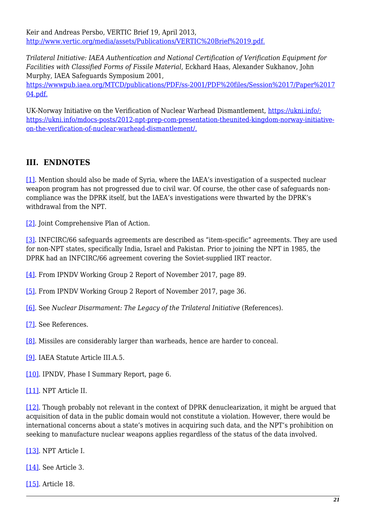Keir and Andreas Persbo, VERTIC Brief 19, April 2013, [http://www.vertic.org/media/assets/Publications/VERTIC%20Brief%2019.pdf.](http://www.vertic.org/media/assets/Publications/VERTIC Brief 19.pdf)

*Trilateral Initiative: IAEA Authentication and National Certification of Verification Equipment for Facilities with Classified Forms of Fissile Material*, Eckhard Haas, Alexander Sukhanov, John Murphy, IAEA Safeguards Symposium 2001,

[https://wwwpub.iaea.org/MTCD/publications/PDF/ss-2001/PDF%20files/Session%2017/Paper%2017](https://www-pub.iaea.org/MTCD/publications/PDF/ss-2001/PDF files/Session 17/Paper 17-04.pdf) [04.pdf.](https://www-pub.iaea.org/MTCD/publications/PDF/ss-2001/PDF files/Session 17/Paper 17-04.pdf)

UK-Norway Initiative on the Verification of Nuclear Warhead Dismantlement, [https://ukni.info/;](https://ukni.info/) [https://ukni.info/mdocs-posts/2012-npt-prep-com-presentation-theunited-kingdom-norway-initiative](https://ukni.info/mdocs-posts/2012-npt-prep-com-presentation-the-united-kingdom-norway-initiative-on-the-verification-of-nuclear-warhead-dismantlement/)[on-the-verification-of-nuclear-warhead-dismantlement/.](https://ukni.info/mdocs-posts/2012-npt-prep-com-presentation-the-united-kingdom-norway-initiative-on-the-verification-of-nuclear-warhead-dismantlement/)

## **III. ENDNOTES**

<span id="page-20-0"></span>[\[1\].](#page-2-0) Mention should also be made of Syria, where the IAEA's investigation of a suspected nuclear weapon program has not progressed due to civil war. Of course, the other case of safeguards noncompliance was the DPRK itself, but the IAEA's investigations were thwarted by the DPRK's withdrawal from the NPT.

<span id="page-20-1"></span>[\[2\].](#page-4-0) Joint Comprehensive Plan of Action.

<span id="page-20-2"></span>[\[3\].](#page-7-0) INFCIRC/66 safeguards agreements are described as "item-specific" agreements. They are used for non-NPT states, specifically India, Israel and Pakistan. Prior to joining the NPT in 1985, the DPRK had an INFCIRC/66 agreement covering the Soviet-supplied IRT reactor.

<span id="page-20-3"></span>[\[4\].](#page-9-0) From IPNDV Working Group 2 Report of November 2017, page 89.

<span id="page-20-4"></span>[\[5\].](#page-10-0) From IPNDV Working Group 2 Report of November 2017, page 36.

<span id="page-20-5"></span>[\[6\].](#page-12-0) See *Nuclear Disarmament: The Legacy of the Trilateral Initiative* (References).

<span id="page-20-6"></span>[\[7\].](#page-12-1) See References.

<span id="page-20-7"></span>[\[8\].](#page-13-0) Missiles are considerably larger than warheads, hence are harder to conceal.

<span id="page-20-8"></span>[\[9\].](#page-13-1) IAEA Statute Article III.A.5.

<span id="page-20-9"></span>[\[10\].](#page-14-0) IPNDV, Phase I Summary Report, page 6.

<span id="page-20-10"></span>[\[11\].](#page-17-0) NPT Article II.

<span id="page-20-11"></span>[\[12\].](#page-17-1) Though probably not relevant in the context of DPRK denuclearization, it might be argued that acquisition of data in the public domain would not constitute a violation. However, there would be international concerns about a state's motives in acquiring such data, and the NPT's prohibition on seeking to manufacture nuclear weapons applies regardless of the status of the data involved.

<span id="page-20-12"></span>[\[13\].](#page-17-2) NPT Article I.

<span id="page-20-13"></span>[\[14\].](#page-17-3) See Article 3.

<span id="page-20-14"></span>[\[15\].](#page-18-0) Article 18.